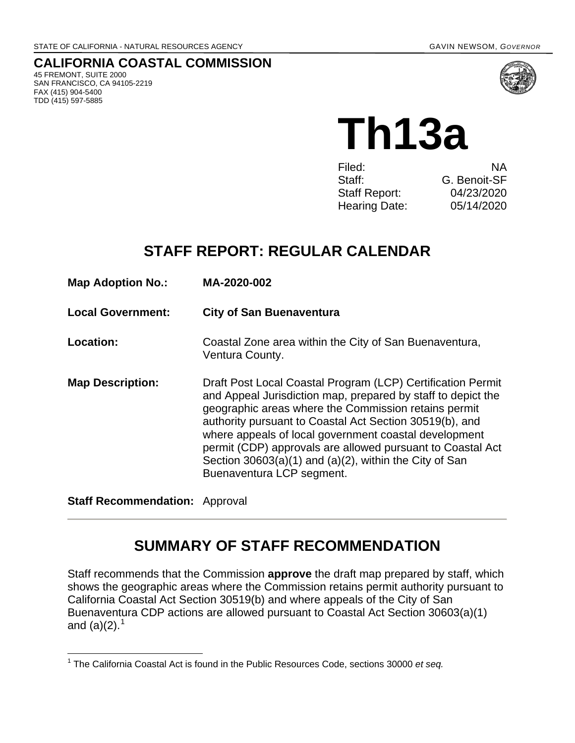**CALIFORNIA COASTAL COMMISSION** 45 FREMONT, SUITE 2000 SAN FRANCISCO, CA 94105-2219 FAX (415) 904-5400 TDD (415) 597-5885



**Th13a** 

| Filed:               | NA.          |
|----------------------|--------------|
| Staff:               | G. Benoit-SF |
| <b>Staff Report:</b> | 04/23/2020   |
| <b>Hearing Date:</b> | 05/14/2020   |

# **STAFF REPORT: REGULAR CALENDAR**

| <b>Map Adoption No.:</b> | MA-2020-002                                                                                                                                                                                                                                                                                                                                                                                                                                                       |
|--------------------------|-------------------------------------------------------------------------------------------------------------------------------------------------------------------------------------------------------------------------------------------------------------------------------------------------------------------------------------------------------------------------------------------------------------------------------------------------------------------|
| <b>Local Government:</b> | <b>City of San Buenaventura</b>                                                                                                                                                                                                                                                                                                                                                                                                                                   |
| Location:                | Coastal Zone area within the City of San Buenaventura,<br>Ventura County.                                                                                                                                                                                                                                                                                                                                                                                         |
| <b>Map Description:</b>  | Draft Post Local Coastal Program (LCP) Certification Permit<br>and Appeal Jurisdiction map, prepared by staff to depict the<br>geographic areas where the Commission retains permit<br>authority pursuant to Coastal Act Section 30519(b), and<br>where appeals of local government coastal development<br>permit (CDP) approvals are allowed pursuant to Coastal Act<br>Section $30603(a)(1)$ and $(a)(2)$ , within the City of San<br>Buenaventura LCP segment. |

**Staff Recommendation:** Approval

# **SUMMARY OF STAFF RECOMMENDATION**

Staff recommends that the Commission **approve** the draft map prepared by staff, which shows the geographic areas where the Commission retains permit authority pursuant to California Coastal Act Section 30519(b) and where appeals of the City of San Buenaventura CDP actions are allowed pursuant to Coastal Act Section 30603(a)(1) and (a)(2).<sup>[1](#page-0-0)</sup>

<span id="page-0-0"></span> $\overline{\phantom{a}}$ <sup>1</sup> The California Coastal Act is found in the Public Resources Code, sections 30000 *et seq.*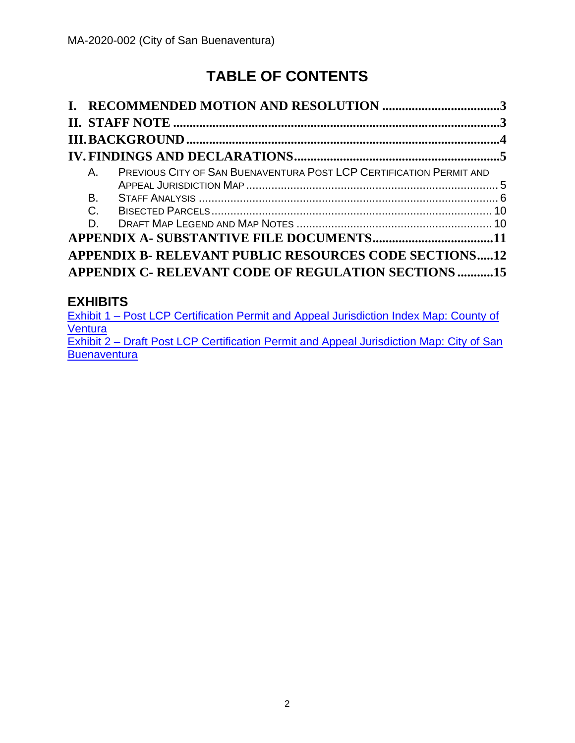# **TABLE OF CONTENTS**

| $A_{-}$   | <b>PREVIOUS CITY OF SAN BUENAVENTURA POST LCP CERTIFICATION PERMIT AND</b> |  |
|-----------|----------------------------------------------------------------------------|--|
| <b>B.</b> |                                                                            |  |
| $C$ .     |                                                                            |  |
| D.        |                                                                            |  |
|           |                                                                            |  |
|           | APPENDIX B- RELEVANT PUBLIC RESOURCES CODE SECTIONS12                      |  |
|           | <b>APPENDIX C- RELEVANT CODE OF REGULATION SECTIONS 15</b>                 |  |

## **EXHIBITS**

[Exhibit 1 – Post LCP Certification Permit and Appeal Jurisdiction Index Map: County of](https://documents.coastal.ca.gov/reports/2020/5/Th13a/Th13a-5-2020-exhibits.pdf)  **[Ventura](https://documents.coastal.ca.gov/reports/2020/5/Th13a/Th13a-5-2020-exhibits.pdf)** [Exhibit 2 – Draft Post LCP Certification Permit and Appeal Jurisdiction Map: City of San](https://documents.coastal.ca.gov/reports/2020/5/Th13a/Th13a-5-2020-exhibits.pdf)  **[Buenaventura](https://documents.coastal.ca.gov/reports/2020/5/Th13a/Th13a-5-2020-exhibits.pdf)**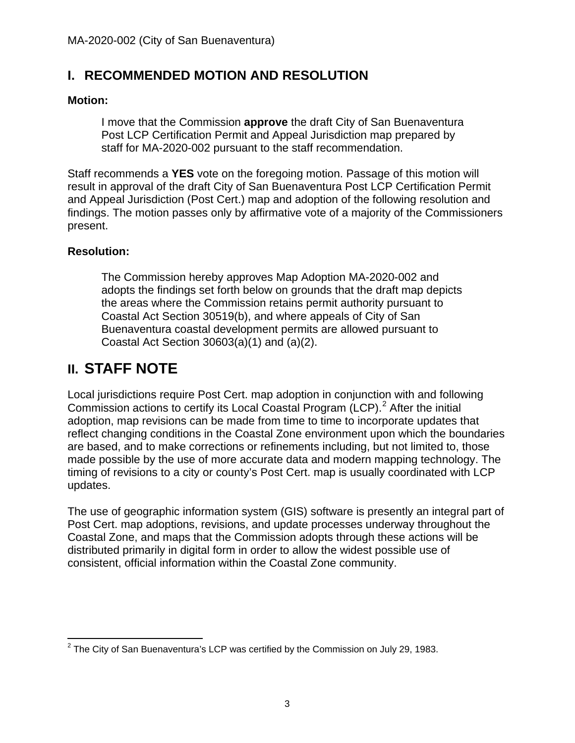## <span id="page-2-0"></span>**I. RECOMMENDED MOTION AND RESOLUTION**

#### **Motion:**

I move that the Commission **approve** the draft City of San Buenaventura Post LCP Certification Permit and Appeal Jurisdiction map prepared by staff for MA-2020-002 pursuant to the staff recommendation.

Staff recommends a **YES** vote on the foregoing motion. Passage of this motion will result in approval of the draft City of San Buenaventura Post LCP Certification Permit and Appeal Jurisdiction (Post Cert.) map and adoption of the following resolution and findings. The motion passes only by affirmative vote of a majority of the Commissioners present.

#### **Resolution:**

The Commission hereby approves Map Adoption MA-2020-002 and adopts the findings set forth below on grounds that the draft map depicts the areas where the Commission retains permit authority pursuant to Coastal Act Section 30519(b), and where appeals of City of San Buenaventura coastal development permits are allowed pursuant to Coastal Act Section 30603(a)(1) and (a)(2).

## <span id="page-2-1"></span>**II. STAFF NOTE**

Local jurisdictions require Post Cert. map adoption in conjunction with and following Commission actions to certify its Local Coastal Program (LCP).<sup>[2](#page-2-2)</sup> After the initial adoption, map revisions can be made from time to time to incorporate updates that reflect changing conditions in the Coastal Zone environment upon which the boundaries are based, and to make corrections or refinements including, but not limited to, those made possible by the use of more accurate data and modern mapping technology. The timing of revisions to a city or county's Post Cert. map is usually coordinated with LCP updates.

The use of geographic information system (GIS) software is presently an integral part of Post Cert. map adoptions, revisions, and update processes underway throughout the Coastal Zone, and maps that the Commission adopts through these actions will be distributed primarily in digital form in order to allow the widest possible use of consistent, official information within the Coastal Zone community.

<span id="page-2-2"></span> $\overline{\phantom{a}}$  $^2$  The City of San Buenaventura's LCP was certified by the Commission on July 29, 1983.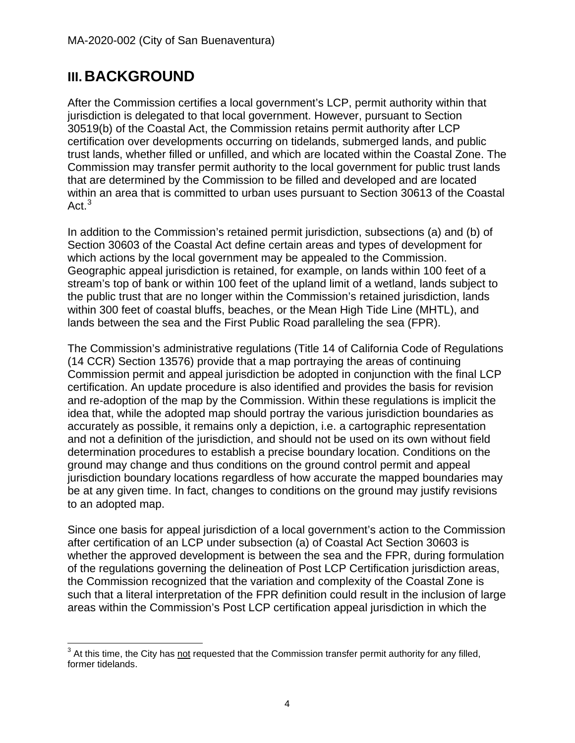# <span id="page-3-0"></span>**III. BACKGROUND**

After the Commission certifies a local government's LCP, permit authority within that jurisdiction is delegated to that local government. However, pursuant to Section 30519(b) of the Coastal Act, the Commission retains permit authority after LCP certification over developments occurring on tidelands, submerged lands, and public trust lands, whether filled or unfilled, and which are located within the Coastal Zone. The Commission may transfer permit authority to the local government for public trust lands that are determined by the Commission to be filled and developed and are located within an area that is committed to urban uses pursuant to Section 30613 of the Coastal Act.<sup>[3](#page-3-1)</sup>

In addition to the Commission's retained permit jurisdiction, subsections (a) and (b) of Section 30603 of the Coastal Act define certain areas and types of development for which actions by the local government may be appealed to the Commission. Geographic appeal jurisdiction is retained, for example, on lands within 100 feet of a stream's top of bank or within 100 feet of the upland limit of a wetland, lands subject to the public trust that are no longer within the Commission's retained jurisdiction, lands within 300 feet of coastal bluffs, beaches, or the Mean High Tide Line (MHTL), and lands between the sea and the First Public Road paralleling the sea (FPR).

The Commission's administrative regulations (Title 14 of California Code of Regulations (14 CCR) Section 13576) provide that a map portraying the areas of continuing Commission permit and appeal jurisdiction be adopted in conjunction with the final LCP certification. An update procedure is also identified and provides the basis for revision and re-adoption of the map by the Commission. Within these regulations is implicit the idea that, while the adopted map should portray the various jurisdiction boundaries as accurately as possible, it remains only a depiction, i.e. a cartographic representation and not a definition of the jurisdiction, and should not be used on its own without field determination procedures to establish a precise boundary location. Conditions on the ground may change and thus conditions on the ground control permit and appeal jurisdiction boundary locations regardless of how accurate the mapped boundaries may be at any given time. In fact, changes to conditions on the ground may justify revisions to an adopted map.

Since one basis for appeal jurisdiction of a local government's action to the Commission after certification of an LCP under subsection (a) of Coastal Act Section 30603 is whether the approved development is between the sea and the FPR, during formulation of the regulations governing the delineation of Post LCP Certification jurisdiction areas, the Commission recognized that the variation and complexity of the Coastal Zone is such that a literal interpretation of the FPR definition could result in the inclusion of large areas within the Commission's Post LCP certification appeal jurisdiction in which the

<span id="page-3-1"></span> $\overline{\phantom{a}}$  $3$  At this time, the City has not requested that the Commission transfer permit authority for any filled, former tidelands.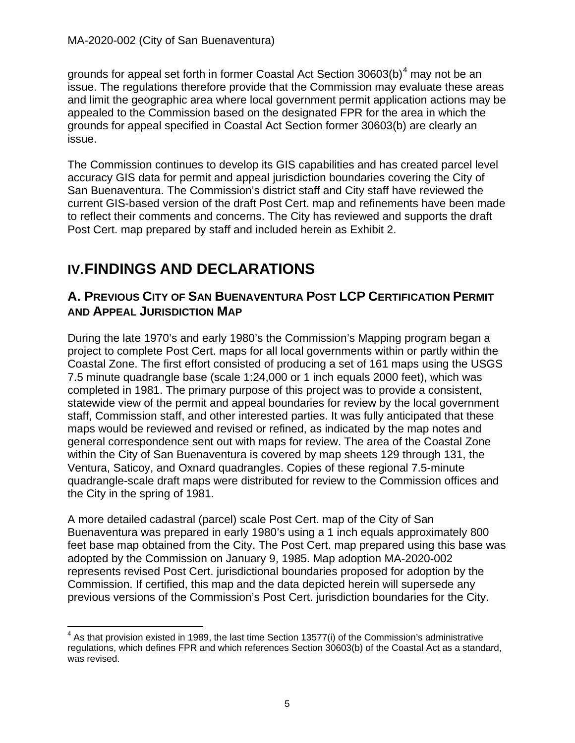grounds for appeal set forth in former Coastal Act Section 30603(b)<sup>[4](#page-4-2)</sup> may not be an issue. The regulations therefore provide that the Commission may evaluate these areas and limit the geographic area where local government permit application actions may be appealed to the Commission based on the designated FPR for the area in which the grounds for appeal specified in Coastal Act Section former 30603(b) are clearly an issue.

The Commission continues to develop its GIS capabilities and has created parcel level accuracy GIS data for permit and appeal jurisdiction boundaries covering the City of San Buenaventura. The Commission's district staff and City staff have reviewed the current GIS-based version of the draft Post Cert. map and refinements have been made to reflect their comments and concerns. The City has reviewed and supports the draft Post Cert. map prepared by staff and included herein as Exhibit 2.

# <span id="page-4-0"></span>**IV.FINDINGS AND DECLARATIONS**

## <span id="page-4-1"></span>**A. PREVIOUS CITY OF SAN BUENAVENTURA POST LCP CERTIFICATION PERMIT AND APPEAL JURISDICTION MAP**

During the late 1970's and early 1980's the Commission's Mapping program began a project to complete Post Cert. maps for all local governments within or partly within the Coastal Zone. The first effort consisted of producing a set of 161 maps using the USGS 7.5 minute quadrangle base (scale 1:24,000 or 1 inch equals 2000 feet), which was completed in 1981. The primary purpose of this project was to provide a consistent, statewide view of the permit and appeal boundaries for review by the local government staff, Commission staff, and other interested parties. It was fully anticipated that these maps would be reviewed and revised or refined, as indicated by the map notes and general correspondence sent out with maps for review. The area of the Coastal Zone within the City of San Buenaventura is covered by map sheets 129 through 131, the Ventura, Saticoy, and Oxnard quadrangles. Copies of these regional 7.5-minute quadrangle-scale draft maps were distributed for review to the Commission offices and the City in the spring of 1981.

A more detailed cadastral (parcel) scale Post Cert. map of the City of San Buenaventura was prepared in early 1980's using a 1 inch equals approximately 800 feet base map obtained from the City. The Post Cert. map prepared using this base was adopted by the Commission on January 9, 1985. Map adoption MA-2020-002 represents revised Post Cert. jurisdictional boundaries proposed for adoption by the Commission. If certified, this map and the data depicted herein will supersede any previous versions of the Commission's Post Cert. jurisdiction boundaries for the City.

<span id="page-4-2"></span> $\overline{\phantom{a}}$  $4$  As that provision existed in 1989, the last time Section 13577(i) of the Commission's administrative regulations, which defines FPR and which references Section 30603(b) of the Coastal Act as a standard, was revised.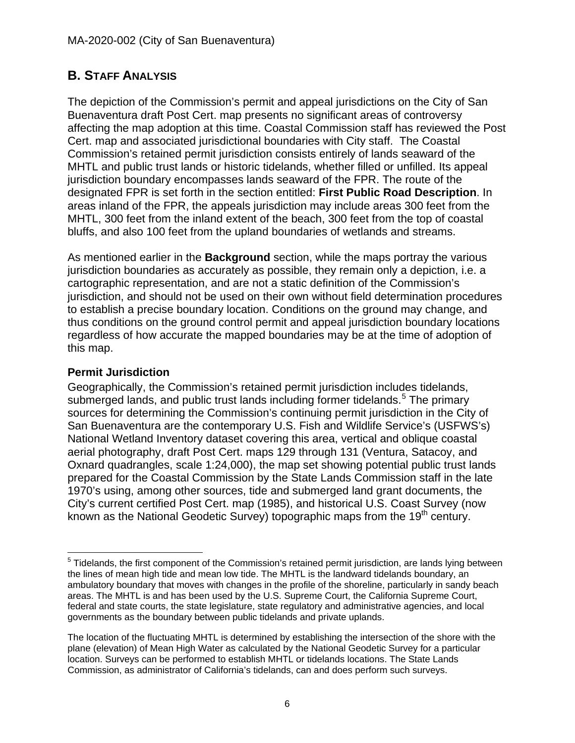## <span id="page-5-0"></span>**B. STAFF ANALYSIS**

The depiction of the Commission's permit and appeal jurisdictions on the City of San Buenaventura draft Post Cert. map presents no significant areas of controversy affecting the map adoption at this time. Coastal Commission staff has reviewed the Post Cert. map and associated jurisdictional boundaries with City staff. The Coastal Commission's retained permit jurisdiction consists entirely of lands seaward of the MHTL and public trust lands or historic tidelands, whether filled or unfilled. Its appeal jurisdiction boundary encompasses lands seaward of the FPR. The route of the designated FPR is set forth in the section entitled: **First Public Road Description**. In areas inland of the FPR, the appeals jurisdiction may include areas 300 feet from the MHTL, 300 feet from the inland extent of the beach, 300 feet from the top of coastal bluffs, and also 100 feet from the upland boundaries of wetlands and streams.

As mentioned earlier in the **Background** section, while the maps portray the various jurisdiction boundaries as accurately as possible, they remain only a depiction, i.e. a cartographic representation, and are not a static definition of the Commission's jurisdiction, and should not be used on their own without field determination procedures to establish a precise boundary location. Conditions on the ground may change, and thus conditions on the ground control permit and appeal jurisdiction boundary locations regardless of how accurate the mapped boundaries may be at the time of adoption of this map.

#### **Permit Jurisdiction**

Geographically, the Commission's retained permit jurisdiction includes tidelands, submerged lands, and public trust lands including former tidelands.<sup>[5](#page-5-1)</sup> The primary sources for determining the Commission's continuing permit jurisdiction in the City of San Buenaventura are the contemporary U.S. Fish and Wildlife Service's (USFWS's) National Wetland Inventory dataset covering this area, vertical and oblique coastal aerial photography, draft Post Cert. maps 129 through 131 (Ventura, Satacoy, and Oxnard quadrangles, scale 1:24,000), the map set showing potential public trust lands prepared for the Coastal Commission by the State Lands Commission staff in the late 1970's using, among other sources, tide and submerged land grant documents, the City's current certified Post Cert. map (1985), and historical U.S. Coast Survey (now known as the National Geodetic Survey) topographic maps from the  $19<sup>th</sup>$  century.

<span id="page-5-1"></span> $\overline{a}$  $<sup>5</sup>$  Tidelands, the first component of the Commission's retained permit jurisdiction, are lands lying between</sup> the lines of mean high tide and mean low tide. The MHTL is the landward tidelands boundary, an ambulatory boundary that moves with changes in the profile of the shoreline, particularly in sandy beach areas. The MHTL is and has been used by the U.S. Supreme Court, the California Supreme Court, federal and state courts, the state legislature, state regulatory and administrative agencies, and local governments as the boundary between public tidelands and private uplands.

The location of the fluctuating MHTL is determined by establishing the intersection of the shore with the plane (elevation) of Mean High Water as calculated by the National Geodetic Survey for a particular location. Surveys can be performed to establish MHTL or tidelands locations. The State Lands Commission, as administrator of California's tidelands, can and does perform such surveys.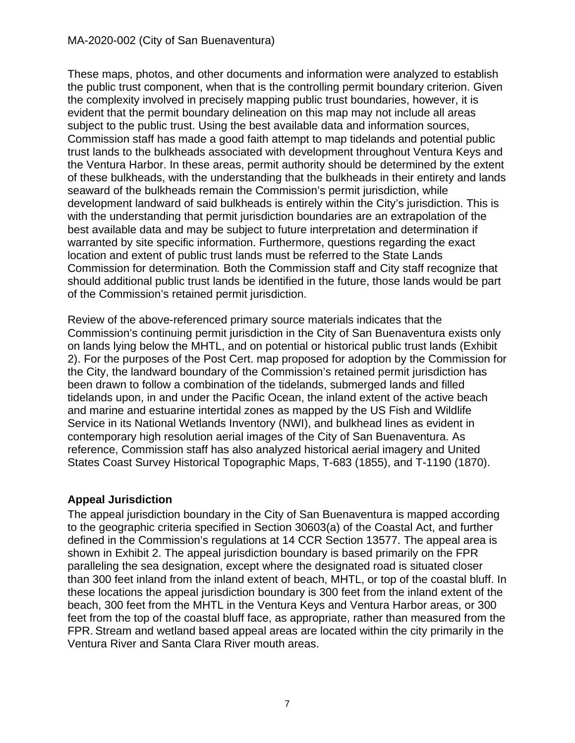#### MA-2020-002 (City of San Buenaventura)

These maps, photos, and other documents and information were analyzed to establish the public trust component, when that is the controlling permit boundary criterion. Given the complexity involved in precisely mapping public trust boundaries, however, it is evident that the permit boundary delineation on this map may not include all areas subject to the public trust. Using the best available data and information sources, Commission staff has made a good faith attempt to map tidelands and potential public trust lands to the bulkheads associated with development throughout Ventura Keys and the Ventura Harbor. In these areas, permit authority should be determined by the extent of these bulkheads, with the understanding that the bulkheads in their entirety and lands seaward of the bulkheads remain the Commission's permit jurisdiction, while development landward of said bulkheads is entirely within the City's jurisdiction. This is with the understanding that permit jurisdiction boundaries are an extrapolation of the best available data and may be subject to future interpretation and determination if warranted by site specific information. Furthermore, questions regarding the exact location and extent of public trust lands must be referred to the State Lands Commission for determination*.* Both the Commission staff and City staff recognize that should additional public trust lands be identified in the future, those lands would be part of the Commission's retained permit jurisdiction.

Review of the above-referenced primary source materials indicates that the Commission's continuing permit jurisdiction in the City of San Buenaventura exists only on lands lying below the MHTL, and on potential or historical public trust lands (Exhibit 2). For the purposes of the Post Cert. map proposed for adoption by the Commission for the City, the landward boundary of the Commission's retained permit jurisdiction has been drawn to follow a combination of the tidelands, submerged lands and filled tidelands upon, in and under the Pacific Ocean, the inland extent of the active beach and marine and estuarine intertidal zones as mapped by the US Fish and Wildlife Service in its National Wetlands Inventory (NWI), and bulkhead lines as evident in contemporary high resolution aerial images of the City of San Buenaventura. As reference, Commission staff has also analyzed historical aerial imagery and United States Coast Survey Historical Topographic Maps, T-683 (1855), and T-1190 (1870).

#### **Appeal Jurisdiction**

The appeal jurisdiction boundary in the City of San Buenaventura is mapped according to the geographic criteria specified in Section 30603(a) of the Coastal Act, and further defined in the Commission's regulations at 14 CCR Section 13577. The appeal area is shown in Exhibit 2. The appeal jurisdiction boundary is based primarily on the FPR paralleling the sea designation, except where the designated road is situated closer than 300 feet inland from the inland extent of beach, MHTL, or top of the coastal bluff. In these locations the appeal jurisdiction boundary is 300 feet from the inland extent of the beach, 300 feet from the MHTL in the Ventura Keys and Ventura Harbor areas, or 300 feet from the top of the coastal bluff face, as appropriate, rather than measured from the FPR. Stream and wetland based appeal areas are located within the city primarily in the Ventura River and Santa Clara River mouth areas.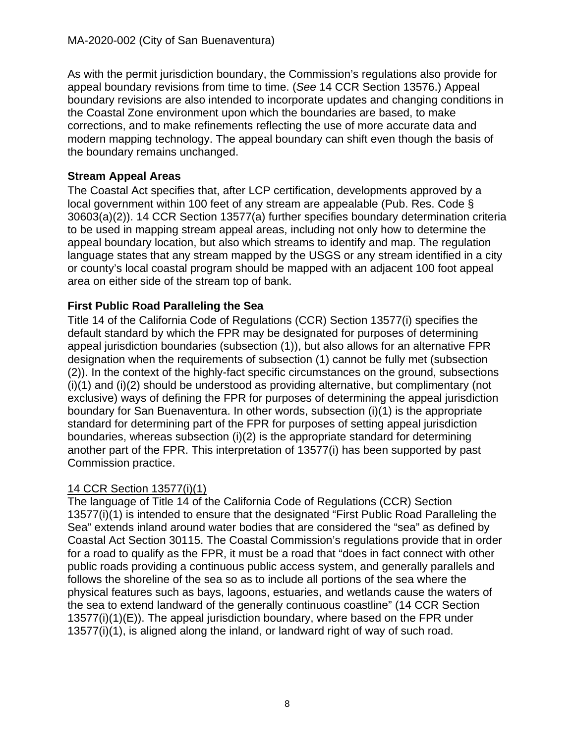As with the permit jurisdiction boundary, the Commission's regulations also provide for appeal boundary revisions from time to time. (*See* 14 CCR Section 13576.) Appeal boundary revisions are also intended to incorporate updates and changing conditions in the Coastal Zone environment upon which the boundaries are based, to make corrections, and to make refinements reflecting the use of more accurate data and modern mapping technology. The appeal boundary can shift even though the basis of the boundary remains unchanged.

#### **Stream Appeal Areas**

The Coastal Act specifies that, after LCP certification, developments approved by a local government within 100 feet of any stream are appealable (Pub. Res. Code § 30603(a)(2)). 14 CCR Section 13577(a) further specifies boundary determination criteria to be used in mapping stream appeal areas, including not only how to determine the appeal boundary location, but also which streams to identify and map. The regulation language states that any stream mapped by the USGS or any stream identified in a city or county's local coastal program should be mapped with an adjacent 100 foot appeal area on either side of the stream top of bank.

### **First Public Road Paralleling the Sea**

Title 14 of the California Code of Regulations (CCR) Section 13577(i) specifies the default standard by which the FPR may be designated for purposes of determining appeal jurisdiction boundaries (subsection (1)), but also allows for an alternative FPR designation when the requirements of subsection (1) cannot be fully met (subsection (2)). In the context of the highly-fact specific circumstances on the ground, subsections (i)(1) and (i)(2) should be understood as providing alternative, but complimentary (not exclusive) ways of defining the FPR for purposes of determining the appeal jurisdiction boundary for San Buenaventura. In other words, subsection (i)(1) is the appropriate standard for determining part of the FPR for purposes of setting appeal jurisdiction boundaries, whereas subsection (i)(2) is the appropriate standard for determining another part of the FPR. This interpretation of 13577(i) has been supported by past Commission practice.

### 14 CCR Section 13577(i)(1)

The language of Title 14 of the California Code of Regulations (CCR) Section 13577(i)(1) is intended to ensure that the designated "First Public Road Paralleling the Sea" extends inland around water bodies that are considered the "sea" as defined by Coastal Act Section 30115. The Coastal Commission's regulations provide that in order for a road to qualify as the FPR, it must be a road that "does in fact connect with other public roads providing a continuous public access system, and generally parallels and follows the shoreline of the sea so as to include all portions of the sea where the physical features such as bays, lagoons, estuaries, and wetlands cause the waters of the sea to extend landward of the generally continuous coastline" (14 CCR Section 13577(i)(1)(E)). The appeal jurisdiction boundary, where based on the FPR under 13577(i)(1), is aligned along the inland, or landward right of way of such road.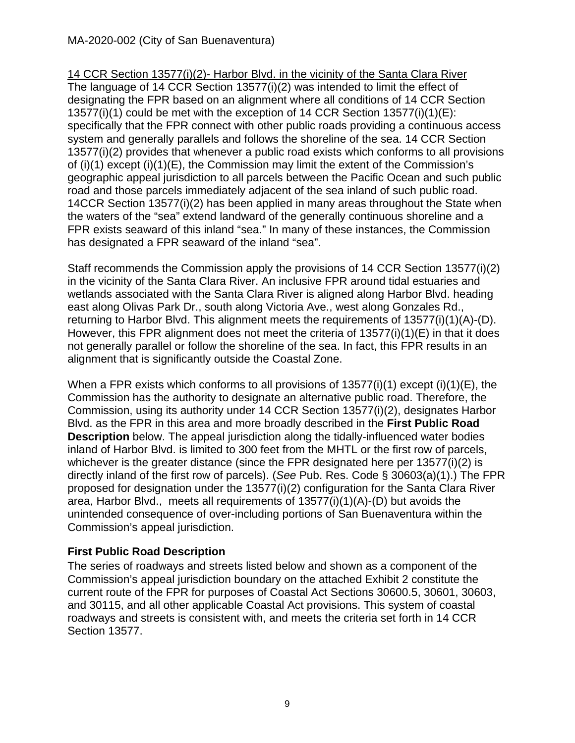14 CCR Section 13577(i)(2)- Harbor Blvd. in the vicinity of the Santa Clara River The language of 14 CCR Section 13577(i)(2) was intended to limit the effect of designating the FPR based on an alignment where all conditions of 14 CCR Section 13577(i)(1) could be met with the exception of 14 CCR Section 13577(i)(1)(E): specifically that the FPR connect with other public roads providing a continuous access system and generally parallels and follows the shoreline of the sea. 14 CCR Section 13577(i)(2) provides that whenever a public road exists which conforms to all provisions of (i)(1) except (i)(1)(E), the Commission may limit the extent of the Commission's geographic appeal jurisdiction to all parcels between the Pacific Ocean and such public road and those parcels immediately adjacent of the sea inland of such public road. 14CCR Section 13577(i)(2) has been applied in many areas throughout the State when the waters of the "sea" extend landward of the generally continuous shoreline and a FPR exists seaward of this inland "sea." In many of these instances, the Commission has designated a FPR seaward of the inland "sea".

Staff recommends the Commission apply the provisions of 14 CCR Section 13577(i)(2) in the vicinity of the Santa Clara River. An inclusive FPR around tidal estuaries and wetlands associated with the Santa Clara River is aligned along Harbor Blvd. heading east along Olivas Park Dr., south along Victoria Ave., west along Gonzales Rd., returning to Harbor Blvd. This alignment meets the requirements of 13577(i)(1)(A)-(D). However, this FPR alignment does not meet the criteria of 13577(i)(1)(E) in that it does not generally parallel or follow the shoreline of the sea. In fact, this FPR results in an alignment that is significantly outside the Coastal Zone.

When a FPR exists which conforms to all provisions of  $13577(i)(1)$  except  $(i)(1)(E)$ , the Commission has the authority to designate an alternative public road. Therefore, the Commission, using its authority under 14 CCR Section 13577(i)(2), designates Harbor Blvd. as the FPR in this area and more broadly described in the **First Public Road Description** below. The appeal jurisdiction along the tidally-influenced water bodies inland of Harbor Blvd. is limited to 300 feet from the MHTL or the first row of parcels, whichever is the greater distance (since the FPR designated here per 13577(i)(2) is directly inland of the first row of parcels). (*See* Pub. Res. Code § 30603(a)(1).) The FPR proposed for designation under the 13577(i)(2) configuration for the Santa Clara River area, Harbor Blvd., meets all requirements of 13577(i)(1)(A)-(D) but avoids the unintended consequence of over-including portions of San Buenaventura within the Commission's appeal jurisdiction.

### **First Public Road Description**

The series of roadways and streets listed below and shown as a component of the Commission's appeal jurisdiction boundary on the attached Exhibit 2 constitute the current route of the FPR for purposes of Coastal Act Sections 30600.5, 30601, 30603, and 30115, and all other applicable Coastal Act provisions. This system of coastal roadways and streets is consistent with, and meets the criteria set forth in 14 CCR Section 13577.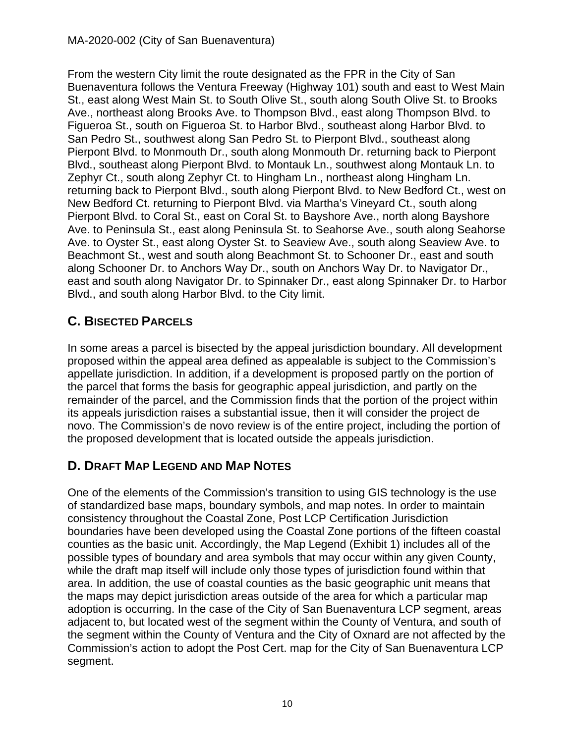From the western City limit the route designated as the FPR in the City of San Buenaventura follows the Ventura Freeway (Highway 101) south and east to West Main St., east along West Main St. to South Olive St., south along South Olive St. to Brooks Ave., northeast along Brooks Ave. to Thompson Blvd., east along Thompson Blvd. to Figueroa St., south on Figueroa St. to Harbor Blvd., southeast along Harbor Blvd. to San Pedro St., southwest along San Pedro St. to Pierpont Blvd., southeast along Pierpont Blvd. to Monmouth Dr., south along Monmouth Dr. returning back to Pierpont Blvd., southeast along Pierpont Blvd. to Montauk Ln., southwest along Montauk Ln. to Zephyr Ct., south along Zephyr Ct. to Hingham Ln., northeast along Hingham Ln. returning back to Pierpont Blvd., south along Pierpont Blvd. to New Bedford Ct., west on New Bedford Ct. returning to Pierpont Blvd. via Martha's Vineyard Ct., south along Pierpont Blvd. to Coral St., east on Coral St. to Bayshore Ave., north along Bayshore Ave. to Peninsula St., east along Peninsula St. to Seahorse Ave., south along Seahorse Ave. to Oyster St., east along Oyster St. to Seaview Ave., south along Seaview Ave. to Beachmont St., west and south along Beachmont St. to Schooner Dr., east and south along Schooner Dr. to Anchors Way Dr., south on Anchors Way Dr. to Navigator Dr., east and south along Navigator Dr. to Spinnaker Dr., east along Spinnaker Dr. to Harbor Blvd., and south along Harbor Blvd. to the City limit.

## <span id="page-9-0"></span>**C. BISECTED PARCELS**

In some areas a parcel is bisected by the appeal jurisdiction boundary. All development proposed within the appeal area defined as appealable is subject to the Commission's appellate jurisdiction. In addition, if a development is proposed partly on the portion of the parcel that forms the basis for geographic appeal jurisdiction, and partly on the remainder of the parcel, and the Commission finds that the portion of the project within its appeals jurisdiction raises a substantial issue, then it will consider the project de novo. The Commission's de novo review is of the entire project, including the portion of the proposed development that is located outside the appeals jurisdiction.

## <span id="page-9-1"></span>**D. DRAFT MAP LEGEND AND MAP NOTES**

One of the elements of the Commission's transition to using GIS technology is the use of standardized base maps, boundary symbols, and map notes. In order to maintain consistency throughout the Coastal Zone, Post LCP Certification Jurisdiction boundaries have been developed using the Coastal Zone portions of the fifteen coastal counties as the basic unit. Accordingly, the Map Legend (Exhibit 1) includes all of the possible types of boundary and area symbols that may occur within any given County, while the draft map itself will include only those types of jurisdiction found within that area. In addition, the use of coastal counties as the basic geographic unit means that the maps may depict jurisdiction areas outside of the area for which a particular map adoption is occurring. In the case of the City of San Buenaventura LCP segment, areas adjacent to, but located west of the segment within the County of Ventura, and south of the segment within the County of Ventura and the City of Oxnard are not affected by the Commission's action to adopt the Post Cert. map for the City of San Buenaventura LCP segment.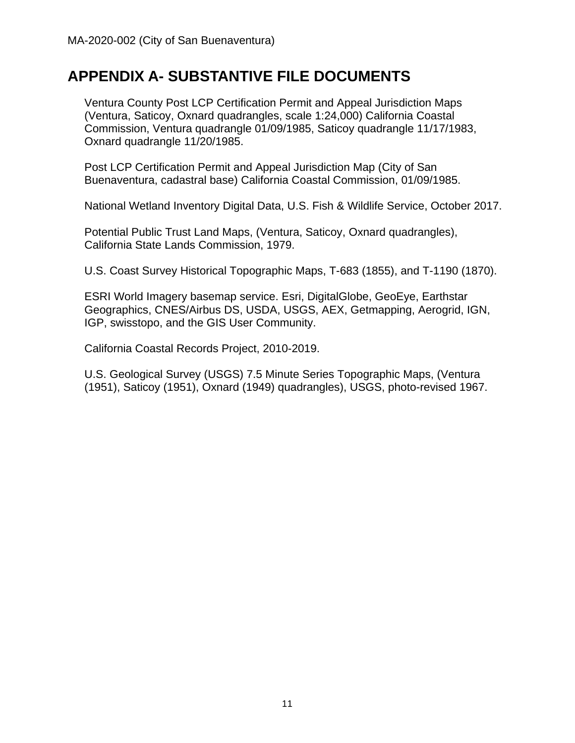# <span id="page-10-0"></span>**APPENDIX A- SUBSTANTIVE FILE DOCUMENTS**

Ventura County Post LCP Certification Permit and Appeal Jurisdiction Maps (Ventura, Saticoy, Oxnard quadrangles, scale 1:24,000) California Coastal Commission, Ventura quadrangle 01/09/1985, Saticoy quadrangle 11/17/1983, Oxnard quadrangle 11/20/1985.

Post LCP Certification Permit and Appeal Jurisdiction Map (City of San Buenaventura, cadastral base) California Coastal Commission, 01/09/1985.

National Wetland Inventory Digital Data, U.S. Fish & Wildlife Service, October 2017.

Potential Public Trust Land Maps, (Ventura, Saticoy, Oxnard quadrangles), California State Lands Commission, 1979.

U.S. Coast Survey Historical Topographic Maps, T-683 (1855), and T-1190 (1870).

ESRI World Imagery basemap service. Esri, DigitalGlobe, GeoEye, Earthstar Geographics, CNES/Airbus DS, USDA, USGS, AEX, Getmapping, Aerogrid, IGN, IGP, swisstopo, and the GIS User Community.

California Coastal Records Project, 2010-2019.

U.S. Geological Survey (USGS) 7.5 Minute Series Topographic Maps, (Ventura (1951), Saticoy (1951), Oxnard (1949) quadrangles), USGS, photo-revised 1967.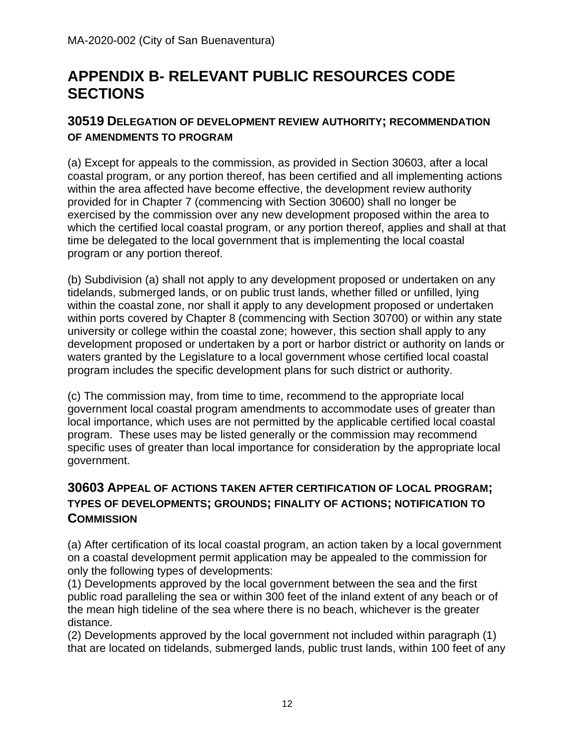# <span id="page-11-0"></span>**APPENDIX B- RELEVANT PUBLIC RESOURCES CODE SECTIONS**

#### **30519 DELEGATION OF DEVELOPMENT REVIEW AUTHORITY; RECOMMENDATION OF AMENDMENTS TO PROGRAM**

(a) Except for appeals to the commission, as provided in Section 30603, after a local coastal program, or any portion thereof, has been certified and all implementing actions within the area affected have become effective, the development review authority provided for in Chapter 7 (commencing with Section 30600) shall no longer be exercised by the commission over any new development proposed within the area to which the certified local coastal program, or any portion thereof, applies and shall at that time be delegated to the local government that is implementing the local coastal program or any portion thereof.

(b) Subdivision (a) shall not apply to any development proposed or undertaken on any tidelands, submerged lands, or on public trust lands, whether filled or unfilled, lying within the coastal zone, nor shall it apply to any development proposed or undertaken within ports covered by Chapter 8 (commencing with Section 30700) or within any state university or college within the coastal zone; however, this section shall apply to any development proposed or undertaken by a port or harbor district or authority on lands or waters granted by the Legislature to a local government whose certified local coastal program includes the specific development plans for such district or authority.

(c) The commission may, from time to time, recommend to the appropriate local government local coastal program amendments to accommodate uses of greater than local importance, which uses are not permitted by the applicable certified local coastal program. These uses may be listed generally or the commission may recommend specific uses of greater than local importance for consideration by the appropriate local government.

## **30603 APPEAL OF ACTIONS TAKEN AFTER CERTIFICATION OF LOCAL PROGRAM; TYPES OF DEVELOPMENTS; GROUNDS; FINALITY OF ACTIONS; NOTIFICATION TO COMMISSION**

(a) After certification of its local coastal program, an action taken by a local government on a coastal development permit application may be appealed to the commission for only the following types of developments:

(1) Developments approved by the local government between the sea and the first public road paralleling the sea or within 300 feet of the inland extent of any beach or of the mean high tideline of the sea where there is no beach, whichever is the greater distance.

(2) Developments approved by the local government not included within paragraph (1) that are located on tidelands, submerged lands, public trust lands, within 100 feet of any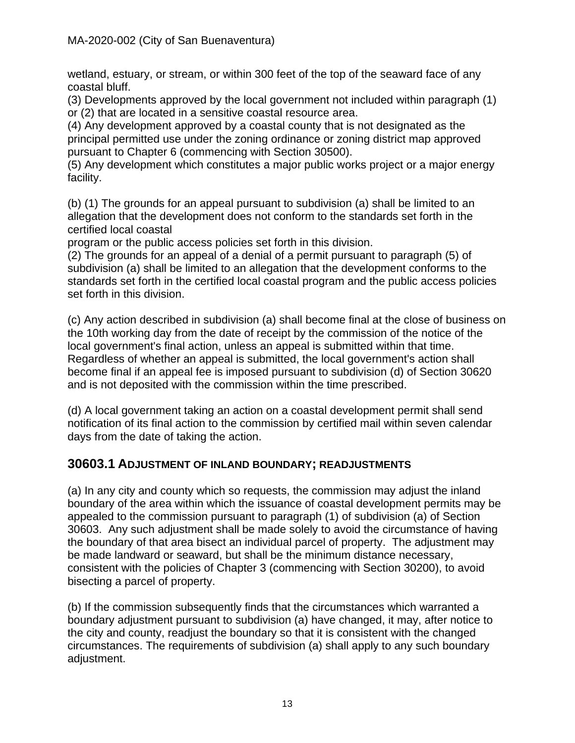wetland, estuary, or stream, or within 300 feet of the top of the seaward face of any coastal bluff.

(3) Developments approved by the local government not included within paragraph (1) or (2) that are located in a sensitive coastal resource area.

(4) Any development approved by a coastal county that is not designated as the principal permitted use under the zoning ordinance or zoning district map approved pursuant to Chapter 6 (commencing with Section 30500).

(5) Any development which constitutes a major public works project or a major energy facility.

(b) (1) The grounds for an appeal pursuant to subdivision (a) shall be limited to an allegation that the development does not conform to the standards set forth in the certified local coastal

program or the public access policies set forth in this division.

(2) The grounds for an appeal of a denial of a permit pursuant to paragraph (5) of subdivision (a) shall be limited to an allegation that the development conforms to the standards set forth in the certified local coastal program and the public access policies set forth in this division.

(c) Any action described in subdivision (a) shall become final at the close of business on the 10th working day from the date of receipt by the commission of the notice of the local government's final action, unless an appeal is submitted within that time. Regardless of whether an appeal is submitted, the local government's action shall become final if an appeal fee is imposed pursuant to subdivision (d) of Section 30620 and is not deposited with the commission within the time prescribed.

(d) A local government taking an action on a coastal development permit shall send notification of its final action to the commission by certified mail within seven calendar days from the date of taking the action.

### **30603.1 ADJUSTMENT OF INLAND BOUNDARY; READJUSTMENTS**

(a) In any city and county which so requests, the commission may adjust the inland boundary of the area within which the issuance of coastal development permits may be appealed to the commission pursuant to paragraph (1) of subdivision (a) of Section 30603. Any such adjustment shall be made solely to avoid the circumstance of having the boundary of that area bisect an individual parcel of property. The adjustment may be made landward or seaward, but shall be the minimum distance necessary, consistent with the policies of Chapter 3 (commencing with Section 30200), to avoid bisecting a parcel of property.

(b) If the commission subsequently finds that the circumstances which warranted a boundary adjustment pursuant to subdivision (a) have changed, it may, after notice to the city and county, readjust the boundary so that it is consistent with the changed circumstances. The requirements of subdivision (a) shall apply to any such boundary adjustment.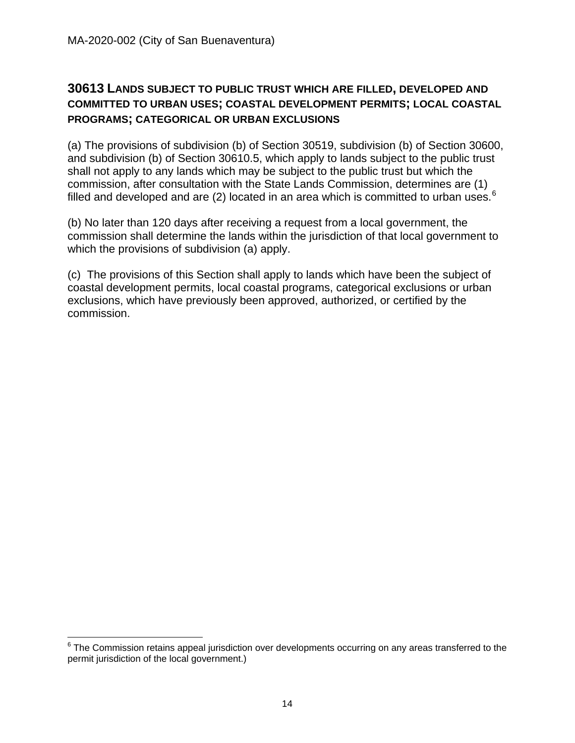### **30613 LANDS SUBJECT TO PUBLIC TRUST WHICH ARE FILLED, DEVELOPED AND COMMITTED TO URBAN USES; COASTAL DEVELOPMENT PERMITS; LOCAL COASTAL PROGRAMS; CATEGORICAL OR URBAN EXCLUSIONS**

(a) The provisions of subdivision (b) of Section 30519, subdivision (b) of Section 30600, and subdivision (b) of Section 30610.5, which apply to lands subject to the public trust shall not apply to any lands which may be subject to the public trust but which the commission, after consultation with the State Lands Commission, determines are (1) filled and developed and are (2) located in an area which is committed to urban uses.<sup>[6](#page-13-0)</sup>

(b) No later than 120 days after receiving a request from a local government, the commission shall determine the lands within the jurisdiction of that local government to which the provisions of subdivision (a) apply.

(c) The provisions of this Section shall apply to lands which have been the subject of coastal development permits, local coastal programs, categorical exclusions or urban exclusions, which have previously been approved, authorized, or certified by the commission.

 $\overline{\phantom{a}}$ 

<span id="page-13-0"></span><sup>&</sup>lt;sup>6</sup> The Commission retains appeal jurisdiction over developments occurring on any areas transferred to the permit jurisdiction of the local government.)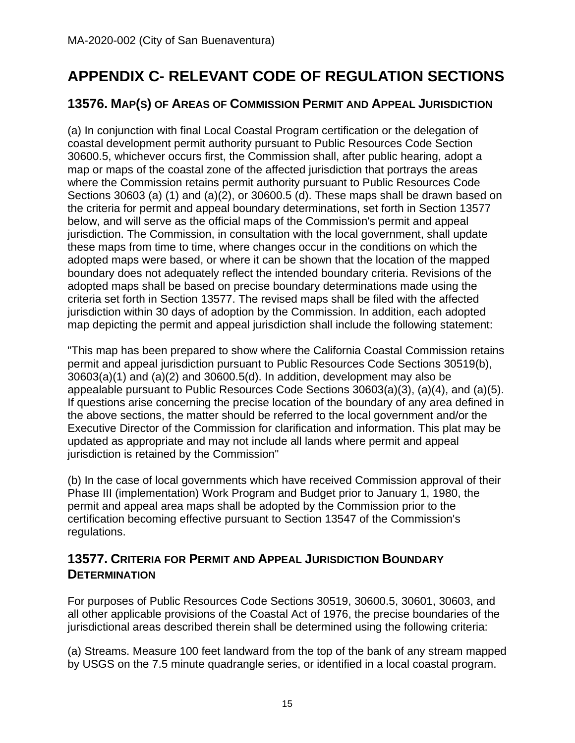# <span id="page-14-0"></span>**APPENDIX C- RELEVANT CODE OF REGULATION SECTIONS**

## **13576. MAP(S) OF AREAS OF COMMISSION PERMIT AND APPEAL JURISDICTION**

(a) In conjunction with final Local Coastal Program certification or the delegation of coastal development permit authority pursuant to Public Resources Code Section 30600.5, whichever occurs first, the Commission shall, after public hearing, adopt a map or maps of the coastal zone of the affected jurisdiction that portrays the areas where the Commission retains permit authority pursuant to Public Resources Code Sections 30603 (a) (1) and (a)(2), or 30600.5 (d). These maps shall be drawn based on the criteria for permit and appeal boundary determinations, set forth in Section 13577 below, and will serve as the official maps of the Commission's permit and appeal jurisdiction. The Commission, in consultation with the local government, shall update these maps from time to time, where changes occur in the conditions on which the adopted maps were based, or where it can be shown that the location of the mapped boundary does not adequately reflect the intended boundary criteria. Revisions of the adopted maps shall be based on precise boundary determinations made using the criteria set forth in Section 13577. The revised maps shall be filed with the affected jurisdiction within 30 days of adoption by the Commission. In addition, each adopted map depicting the permit and appeal jurisdiction shall include the following statement:

"This map has been prepared to show where the California Coastal Commission retains permit and appeal jurisdiction pursuant to Public Resources Code Sections 30519(b), 30603(a)(1) and (a)(2) and 30600.5(d). In addition, development may also be appealable pursuant to Public Resources Code Sections 30603(a)(3), (a)(4), and (a)(5). If questions arise concerning the precise location of the boundary of any area defined in the above sections, the matter should be referred to the local government and/or the Executive Director of the Commission for clarification and information. This plat may be updated as appropriate and may not include all lands where permit and appeal jurisdiction is retained by the Commission"

(b) In the case of local governments which have received Commission approval of their Phase III (implementation) Work Program and Budget prior to January 1, 1980, the permit and appeal area maps shall be adopted by the Commission prior to the certification becoming effective pursuant to Section 13547 of the Commission's regulations.

## **13577. CRITERIA FOR PERMIT AND APPEAL JURISDICTION BOUNDARY DETERMINATION**

For purposes of Public Resources Code Sections 30519, 30600.5, 30601, 30603, and all other applicable provisions of the Coastal Act of 1976, the precise boundaries of the jurisdictional areas described therein shall be determined using the following criteria:

(a) Streams. Measure 100 feet landward from the top of the bank of any stream mapped by USGS on the 7.5 minute quadrangle series, or identified in a local coastal program.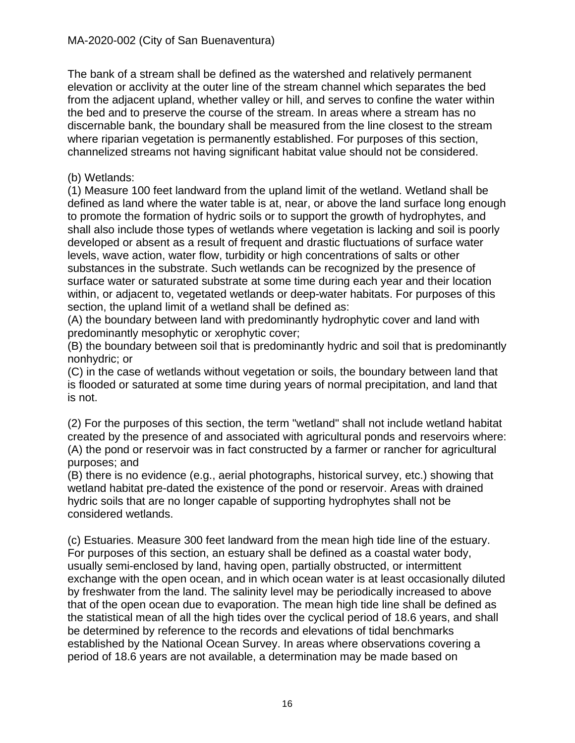The bank of a stream shall be defined as the watershed and relatively permanent elevation or acclivity at the outer line of the stream channel which separates the bed from the adjacent upland, whether valley or hill, and serves to confine the water within the bed and to preserve the course of the stream. In areas where a stream has no discernable bank, the boundary shall be measured from the line closest to the stream where riparian vegetation is permanently established. For purposes of this section, channelized streams not having significant habitat value should not be considered.

#### (b) Wetlands:

(1) Measure 100 feet landward from the upland limit of the wetland. Wetland shall be defined as land where the water table is at, near, or above the land surface long enough to promote the formation of hydric soils or to support the growth of hydrophytes, and shall also include those types of wetlands where vegetation is lacking and soil is poorly developed or absent as a result of frequent and drastic fluctuations of surface water levels, wave action, water flow, turbidity or high concentrations of salts or other substances in the substrate. Such wetlands can be recognized by the presence of surface water or saturated substrate at some time during each year and their location within, or adjacent to, vegetated wetlands or deep-water habitats. For purposes of this section, the upland limit of a wetland shall be defined as:

(A) the boundary between land with predominantly hydrophytic cover and land with predominantly mesophytic or xerophytic cover;

(B) the boundary between soil that is predominantly hydric and soil that is predominantly nonhydric; or

(C) in the case of wetlands without vegetation or soils, the boundary between land that is flooded or saturated at some time during years of normal precipitation, and land that is not.

(2) For the purposes of this section, the term "wetland" shall not include wetland habitat created by the presence of and associated with agricultural ponds and reservoirs where: (A) the pond or reservoir was in fact constructed by a farmer or rancher for agricultural purposes; and

(B) there is no evidence (e.g., aerial photographs, historical survey, etc.) showing that wetland habitat pre-dated the existence of the pond or reservoir. Areas with drained hydric soils that are no longer capable of supporting hydrophytes shall not be considered wetlands.

(c) Estuaries. Measure 300 feet landward from the mean high tide line of the estuary. For purposes of this section, an estuary shall be defined as a coastal water body, usually semi-enclosed by land, having open, partially obstructed, or intermittent exchange with the open ocean, and in which ocean water is at least occasionally diluted by freshwater from the land. The salinity level may be periodically increased to above that of the open ocean due to evaporation. The mean high tide line shall be defined as the statistical mean of all the high tides over the cyclical period of 18.6 years, and shall be determined by reference to the records and elevations of tidal benchmarks established by the National Ocean Survey. In areas where observations covering a period of 18.6 years are not available, a determination may be made based on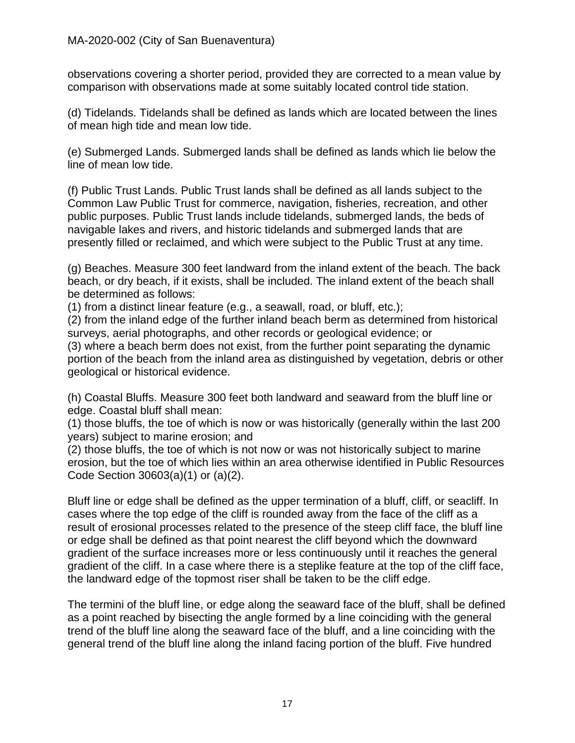observations covering a shorter period, provided they are corrected to a mean value by comparison with observations made at some suitably located control tide station.

(d) Tidelands. Tidelands shall be defined as lands which are located between the lines of mean high tide and mean low tide.

(e) Submerged Lands. Submerged lands shall be defined as lands which lie below the line of mean low tide.

(f) Public Trust Lands. Public Trust lands shall be defined as all lands subject to the Common Law Public Trust for commerce, navigation, fisheries, recreation, and other public purposes. Public Trust lands include tidelands, submerged lands, the beds of navigable lakes and rivers, and historic tidelands and submerged lands that are presently filled or reclaimed, and which were subject to the Public Trust at any time.

(g) Beaches. Measure 300 feet landward from the inland extent of the beach. The back beach, or dry beach, if it exists, shall be included. The inland extent of the beach shall be determined as follows:

(1) from a distinct linear feature (e.g., a seawall, road, or bluff, etc.);

(2) from the inland edge of the further inland beach berm as determined from historical surveys, aerial photographs, and other records or geological evidence; or

(3) where a beach berm does not exist, from the further point separating the dynamic portion of the beach from the inland area as distinguished by vegetation, debris or other geological or historical evidence.

(h) Coastal Bluffs. Measure 300 feet both landward and seaward from the bluff line or edge. Coastal bluff shall mean:

(1) those bluffs, the toe of which is now or was historically (generally within the last 200 years) subject to marine erosion; and

(2) those bluffs, the toe of which is not now or was not historically subject to marine erosion, but the toe of which lies within an area otherwise identified in Public Resources Code Section 30603(a)(1) or (a)(2).

Bluff line or edge shall be defined as the upper termination of a bluff, cliff, or seacliff. In cases where the top edge of the cliff is rounded away from the face of the cliff as a result of erosional processes related to the presence of the steep cliff face, the bluff line or edge shall be defined as that point nearest the cliff beyond which the downward gradient of the surface increases more or less continuously until it reaches the general gradient of the cliff. In a case where there is a steplike feature at the top of the cliff face, the landward edge of the topmost riser shall be taken to be the cliff edge.

The termini of the bluff line, or edge along the seaward face of the bluff, shall be defined as a point reached by bisecting the angle formed by a line coinciding with the general trend of the bluff line along the seaward face of the bluff, and a line coinciding with the general trend of the bluff line along the inland facing portion of the bluff. Five hundred